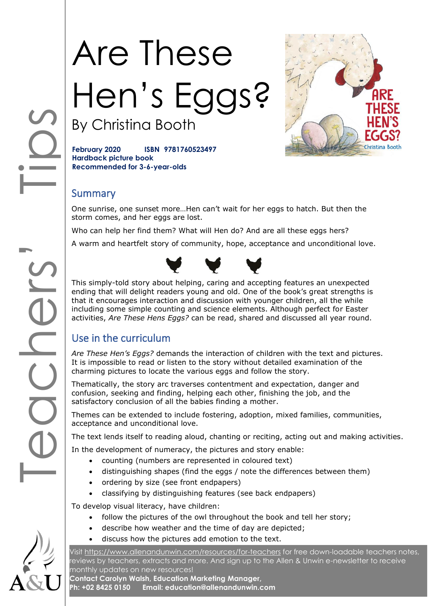# Are These Hen's Eggs? By Christina Booth



**February 2020 ISBN 9781760523497 Hardback picture book Recommended for 3-6-year-olds**

## **Summary**

One sunrise, one sunset more…Hen can't wait for her eggs to hatch. But then the storm comes, and her eggs are lost.

Who can help her find them? What will Hen do? And are all these eggs hers?

A warm and heartfelt story of community, hope, acceptance and unconditional love.



This simply-told story about helping, caring and accepting features an unexpected ending that will delight readers young and old. One of the book's great strengths is that it encourages interaction and discussion with younger children, all the while including some simple counting and science elements. Although perfect for Easter activities, *Are These Hens Eggs?* can be read, shared and discussed all year round.

# Use in the curriculum

*Are These Hen's Eggs?* demands the interaction of children with the text and pictures. It is impossible to read or listen to the story without detailed examination of the charming pictures to locate the various eggs and follow the story.

Thematically, the story arc traverses contentment and expectation, danger and confusion, seeking and finding, helping each other, finishing the job, and the satisfactory conclusion of all the babies finding a mother.

Themes can be extended to include fostering, adoption, mixed families, communities, acceptance and unconditional love.

The text lends itself to reading aloud, chanting or reciting, acting out and making activities.

In the development of numeracy, the pictures and story enable:

- counting (numbers are represented in coloured text)
- distinguishing shapes (find the eggs / note the differences between them)
- ordering by size (see front endpapers)
- classifying by distinguishing features (see back endpapers)

To develop visual literacy, have children:

- follow the pictures of the owl throughout the book and tell her story;
- describe how weather and the time of day are depicted;
- discuss how the pictures add emotion to the text.

Visit<https://www.allenandunwin.com/resources/for-teachers> for free down-loadable teachers notes, reviews by teachers, extracts and more. And sign up to the Allen & Unwin e-newsletter to receive monthly updates on new resources!

**Contact Carolyn Walsh, Education Marketing Manager, Ph: +02 8425 0150 Email: education@allenandunwin.com**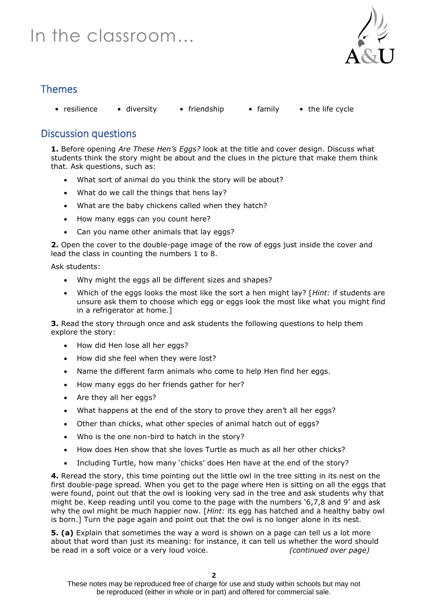# In the classroom…



# Themes

• resilience • diversity • friendship • family • the life cycle

# Discussion questions

**1.** Before opening *Are These Hen's Eggs?* look at the title and cover design. Discuss what students think the story might be about and the clues in the picture that make them think that. Ask questions, such as:

- What sort of animal do you think the story will be about?
- What do we call the things that hens lay?
- What are the baby chickens called when they hatch?
- How many eggs can you count here?
- Can you name other animals that lay eggs?

**2.** Open the cover to the double-page image of the row of eggs just inside the cover and lead the class in counting the numbers 1 to 8.

Ask students:

- Why might the eggs all be different sizes and shapes?
- Which of the eggs looks the most like the sort a hen might lay? [*Hint:* if students are unsure ask them to choose which egg or eggs look the most like what you might find in a refrigerator at home.]

**3.** Read the story through once and ask students the following questions to help them explore the story:

- How did Hen lose all her eggs?
- How did she feel when they were lost?
- Name the different farm animals who come to help Hen find her eggs.
- How many eggs do her friends gather for her?
- Are they all her eggs?
- What happens at the end of the story to prove they aren't all her eggs?
- Other than chicks, what other species of animal hatch out of eggs?
- Who is the one non-bird to hatch in the story?
- How does Hen show that she loves Turtle as much as all her other chicks?
- Including Turtle, how many 'chicks' does Hen have at the end of the story?

**4.** Reread the story, this time pointing out the little owl in the tree sitting in its nest on the first double-page spread. When you get to the page where Hen is sitting on all the eggs that were found, point out that the owl is looking very sad in the tree and ask students why that might be. Keep reading until you come to the page with the numbers '6,7,8 and 9' and ask why the owl might be much happier now. [*Hint:* its egg has hatched and a healthy baby owl is born.] Turn the page again and point out that the owl is no longer alone in its nest.

**5. (a)** Explain that sometimes the way a word is shown on a page can tell us a lot more about that word than just its meaning: for instance, it can tell us whether the word should be read in a soft voice or a very loud voice. *(continued over page)*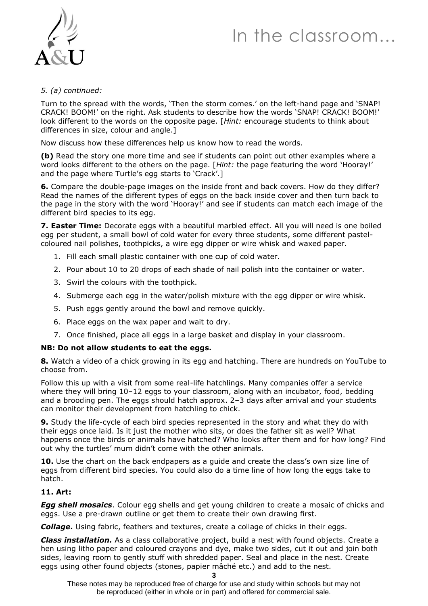# In the classroom…



### *5. (a) continued:*

Turn to the spread with the words, 'Then the storm comes.' on the left-hand page and 'SNAP! CRACK! BOOM!' on the right. Ask students to describe how the words 'SNAP! CRACK! BOOM!' look different to the words on the opposite page. [*Hint:* encourage students to think about differences in size, colour and angle.]

Now discuss how these differences help us know how to read the words.

**(b)** Read the story one more time and see if students can point out other examples where a word looks different to the others on the page. [*Hint:* the page featuring the word 'Hooray!' and the page where Turtle's egg starts to 'Crack'.]

**6.** Compare the double-page images on the inside front and back covers. How do they differ? Read the names of the different types of eggs on the back inside cover and then turn back to the page in the story with the word 'Hooray!' and see if students can match each image of the different bird species to its egg.

**7. Easter Time:** Decorate eggs with a beautiful marbled effect. All you will need is one boiled egg per student, a small bowl of cold water for every three students, some different pastelcoloured nail polishes, toothpicks, a wire egg dipper or wire whisk and waxed paper.

- 1. Fill each small plastic container with one cup of cold water.
- 2. Pour about 10 to 20 drops of each shade of nail polish into the container or water.
- 3. Swirl the colours with the toothpick.
- 4. Submerge each egg in the water/polish mixture with the egg dipper or wire whisk.
- 5. Push eggs gently around the bowl and remove quickly.
- 6. Place eggs on the wax paper and wait to dry.
- 7. Once finished, place all eggs in a large basket and display in your classroom.

#### **NB: Do not allow students to eat the eggs.**

**8.** Watch a video of a chick growing in its egg and hatching. There are hundreds on YouTube to choose from.

Follow this up with a visit from some real-life hatchlings. Many companies offer a service where they will bring 10–12 eggs to your classroom, along with an incubator, food, bedding and a brooding pen. The eggs should hatch approx. 2–3 days after arrival and your students can monitor their development from hatchling to chick.

**9.** Study the life-cycle of each bird species represented in the story and what they do with their eggs once laid. Is it just the mother who sits, or does the father sit as well? What happens once the birds or animals have hatched? Who looks after them and for how long? Find out why the turtles' mum didn't come with the other animals.

**10.** Use the chart on the back endpapers as a guide and create the class's own size line of eggs from different bird species. You could also do a time line of how long the eggs take to hatch.

#### **11. Art:**

*Egg shell mosaics*. Colour egg shells and get young children to create a mosaic of chicks and eggs. Use a pre-drawn outline or get them to create their own drawing first.

*Collage***.** Using fabric, feathers and textures, create a collage of chicks in their eggs.

*Class installation.* As a class collaborative project, build a nest with found objects. Create a hen using litho paper and coloured crayons and dye, make two sides, cut it out and join both sides, leaving room to gently stuff with shredded paper. Seal and place in the nest. Create eggs using other found objects (stones, papier mâché etc.) and add to the nest.

These notes may be reproduced free of charge for use and study within schools but may not be reproduced (either in whole or in part) and offered for commercial sale.